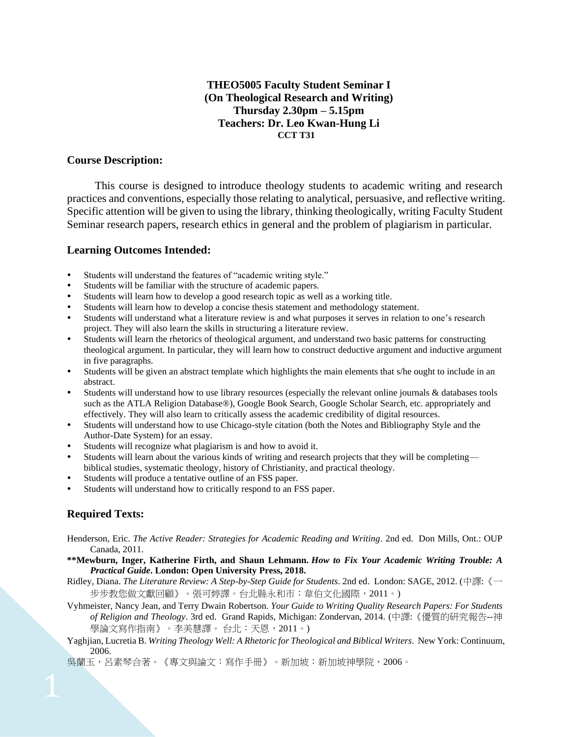## **THEO5005 Faculty Student Seminar I (On Theological Research and Writing) Thursday 2.30pm – 5.15pm Teachers: Dr. Leo Kwan-Hung Li CCT T31**

#### **Course Description:**

This course is designed to introduce theology students to academic writing and research practices and conventions, especially those relating to analytical, persuasive, and reflective writing. Specific attention will be given to using the library, thinking theologically, writing Faculty Student Seminar research papers, research ethics in general and the problem of plagiarism in particular.

#### **Learning Outcomes Intended:**

- Students will understand the features of "academic writing style."
- Students will be familiar with the structure of academic papers.
- Students will learn how to develop a good research topic as well as a working title.
- Students will learn how to develop a concise thesis statement and methodology statement.
- Students will understand what a literature review is and what purposes it serves in relation to one's research project. They will also learn the skills in structuring a literature review.
- Students will learn the rhetorics of theological argument, and understand two basic patterns for constructing theological argument. In particular, they will learn how to construct deductive argument and inductive argument in five paragraphs.
- Students will be given an abstract template which highlights the main elements that s/he ought to include in an abstract.
- Students will understand how to use library resources (especially the relevant online journals & databases tools such as the ATLA Religion Database®), Google Book Search, Google Scholar Search, etc. appropriately and effectively. They will also learn to critically assess the academic credibility of digital resources.
- Students will understand how to use Chicago-style citation (both the Notes and Bibliography Style and the Author-Date System) for an essay.
- Students will recognize what plagiarism is and how to avoid it.
- Students will learn about the various kinds of writing and research projects that they will be completing biblical studies, systematic theology, history of Christianity, and practical theology.
- Students will produce a tentative outline of an FSS paper.
- Students will understand how to critically respond to an FSS paper.

## **Required Texts:**

- Henderson, Eric. *The Active Reader: Strategies for Academic Reading and Writing*. 2nd ed. Don Mills, Ont.: OUP Canada, 2011.
- **\*\*Mewburn, Inger, Katherine Firth, and Shaun Lehmann.** *How to Fix Your Academic Writing Trouble: A Practical Guide***. London: Open University Press, 2018.**
- Ridley, Diana. *The Literature Review: A Step-by-Step Guide for Students*. 2nd ed. London: SAGE, 2012. (中譯:《一 步步教您做文獻回顧》。張可婷譯。台北縣永和市:韋伯文化國際, 2011。)
- Vyhmeister, Nancy Jean, and Terry Dwain Robertson. *Your Guide to Writing Quality Research Papers: For Students of Religion and Theology*. 3rd ed. Grand Rapids, Michigan: Zondervan, 2014. (中譯:《優質的研究報告--神 學論文寫作指南》。李美慧譯。 台北:天恩,2011。)
- Yaghjian, Lucretia B. *Writing Theology Well: A Rhetoric for Theological and Biblical Writers*. New York: Continuum, 2006.

吳蘭玉,呂素琴合著。《專文與論文:寫作手冊》。新加坡:新加坡神學院,2006。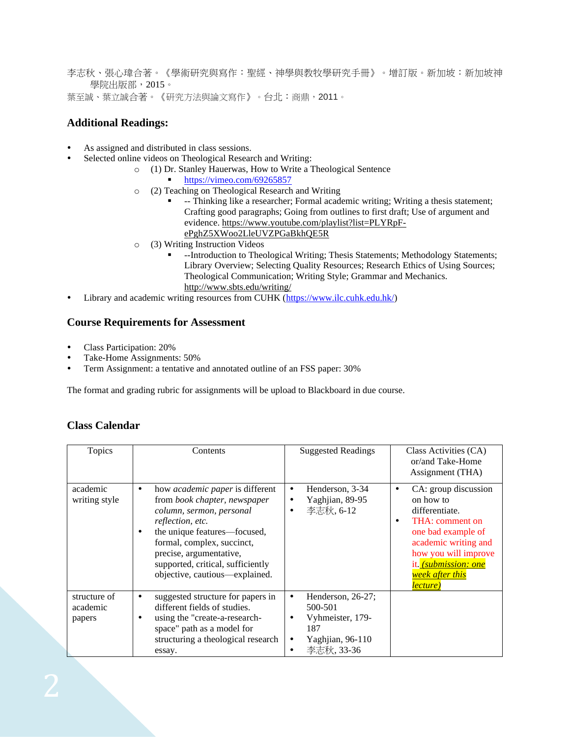李志秋、張心瑋合著。《學術研究與寫作:聖經、神學與教牧學研究手冊》。增訂版。新加坡:新加坡神 學院出版部,2015。 葉至誠、葉立誠合著。《研究方法與論文寫作》。台北:商鼎,2011。

## **Additional Readings:**

- As assigned and distributed in class sessions.
- Selected online videos on Theological Research and Writing:
	- o (1) Dr. Stanley Hauerwas, How to Write a Theological Sentence
		- <https://vimeo.com/69265857>
	- o (2) Teaching on Theological Research and Writing
		- -- Thinking like a researcher; Formal academic writing; Writing a thesis statement; Crafting good paragraphs; Going from outlines to first draft; Use of argument and evidence. [https://www.youtube.com/playlist?list=PLYRpF](https://www.youtube.com/playlist?list=PLYRpF-ePghZ5XWoo2LleUVZPGaBkhQE5R)[ePghZ5XWoo2LleUVZPGaBkhQE5R](https://www.youtube.com/playlist?list=PLYRpF-ePghZ5XWoo2LleUVZPGaBkhQE5R)
	- o (3) Writing Instruction Videos
		- --Introduction to Theological Writing; Thesis Statements; Methodology Statements; Library Overview; Selecting Quality Resources; Research Ethics of Using Sources; Theological Communication; Writing Style; Grammar and Mechanics. <http://www.sbts.edu/writing/>
- Library and academic writing resources from CUHK [\(https://www.ilc.cuhk.edu.hk/\)](https://www.ilc.cuhk.edu.hk/)

## **Course Requirements for Assessment**

- Class Participation: 20%
- Take-Home Assignments: 50%
- Term Assignment: a tentative and annotated outline of an FSS paper: 30%

The format and grading rubric for assignments will be upload to Blackboard in due course.

## **Class Calendar**

| Topics                             | Contents                                                                                                                                                                                                                                                                                         | <b>Suggested Readings</b>                                                                      | Class Activities (CA)<br>or/and Take-Home<br>Assignment (THA)                                                                                                                                                           |
|------------------------------------|--------------------------------------------------------------------------------------------------------------------------------------------------------------------------------------------------------------------------------------------------------------------------------------------------|------------------------------------------------------------------------------------------------|-------------------------------------------------------------------------------------------------------------------------------------------------------------------------------------------------------------------------|
| academic<br>writing style          | how <i>academic paper</i> is different<br>٠<br>from book chapter, newspaper<br>column, sermon, personal<br>reflection, etc.<br>the unique features-focused,<br>٠<br>formal, complex, succinct,<br>precise, argumentative,<br>supported, critical, sufficiently<br>objective, cautious—explained. | Henderson, 3-34<br>٠<br>Yaghjian, 89-95<br>李志秋, 6-12                                           | CA: group discussion<br>٠<br>on how to<br>differentiate.<br>THA: comment on<br>one bad example of<br>academic writing and<br>how you will improve<br>it. <i>(submission: one</i><br>week after this<br><i>lecture</i> ) |
| structure of<br>academic<br>papers | suggested structure for papers in<br>٠<br>different fields of studies.<br>using the "create-a-research-<br>space" path as a model for<br>structuring a theological research<br>essay.                                                                                                            | Henderson, 26-27;<br>٠<br>500-501<br>Vyhmeister, 179-<br>187<br>Yaghjian, 96-110<br>李志秋, 33-36 |                                                                                                                                                                                                                         |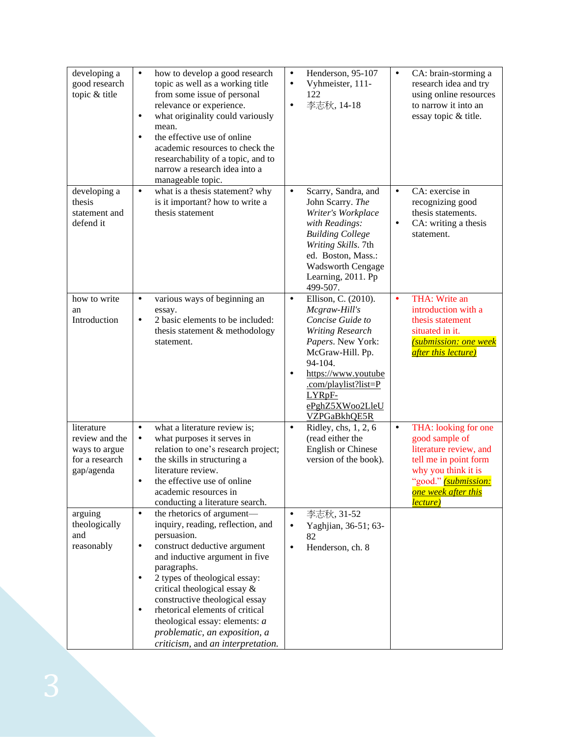| developing a<br>good research<br>topic & title                                | $\bullet$<br>how to develop a good research<br>topic as well as a working title<br>from some issue of personal<br>relevance or experience.<br>what originality could variously<br>$\bullet$<br>mean.<br>the effective use of online<br>$\bullet$<br>academic resources to check the<br>researchability of a topic, and to<br>narrow a research idea into a<br>manageable topic.                                                                                     | Henderson, 95-107<br>$\bullet$<br>Vyhmeister, 111-<br>$\bullet$<br>122<br>李志秋, 14-18<br>$\bullet$                                                                                                                                                             | CA: brain-storming a<br>$\bullet$<br>research idea and try<br>using online resources<br>to narrow it into an<br>essay topic & title.                                                                  |
|-------------------------------------------------------------------------------|---------------------------------------------------------------------------------------------------------------------------------------------------------------------------------------------------------------------------------------------------------------------------------------------------------------------------------------------------------------------------------------------------------------------------------------------------------------------|---------------------------------------------------------------------------------------------------------------------------------------------------------------------------------------------------------------------------------------------------------------|-------------------------------------------------------------------------------------------------------------------------------------------------------------------------------------------------------|
| developing a<br>thesis<br>statement and<br>defend it                          | what is a thesis statement? why<br>$\bullet$<br>is it important? how to write a<br>thesis statement                                                                                                                                                                                                                                                                                                                                                                 | Scarry, Sandra, and<br>$\bullet$<br>John Scarry. The<br>Writer's Workplace<br>with Readings:<br><b>Building College</b><br>Writing Skills. 7th<br>ed. Boston, Mass.:<br><b>Wadsworth Cengage</b><br>Learning, 2011. Pp<br>499-507.                            | CA: exercise in<br>$\bullet$<br>recognizing good<br>thesis statements.<br>CA: writing a thesis<br>$\bullet$<br>statement.                                                                             |
| how to write<br>an<br>Introduction                                            | various ways of beginning an<br>$\bullet$<br>essay.<br>2 basic elements to be included:<br>$\bullet$<br>thesis statement & methodology<br>statement.                                                                                                                                                                                                                                                                                                                | Ellison, C. (2010).<br>$\bullet$<br>Mcgraw-Hill's<br>Concise Guide to<br><b>Writing Research</b><br>Papers. New York:<br>McGraw-Hill. Pp.<br>94-104.<br>https://www.youtube<br>$\bullet$<br>.com/playlist?list=P<br>LYRpF-<br>ePghZ5XWoo2LleU<br>VZPGaBkhQE5R | THA: Write an<br>$\bullet$<br>introduction with a<br>thesis statement<br>situated in it.<br><b><u>(submission: one week</u></b><br>after this lecture)                                                |
| literature<br>review and the<br>ways to argue<br>for a research<br>gap/agenda | $\bullet$<br>what a literature review is;<br>what purposes it serves in<br>$\bullet$<br>relation to one's research project;<br>the skills in structuring a<br>$\bullet$<br>literature review.<br>the effective use of online<br>$\bullet$<br>academic resources in<br>conducting a literature search.                                                                                                                                                               | $\bullet$<br>Ridley, chs, 1, 2, 6<br>(read either the<br><b>English or Chinese</b><br>version of the book).                                                                                                                                                   | THA: looking for one<br>$\bullet$<br>good sample of<br>literature review, and<br>tell me in point form<br>why you think it is<br>"good." (submission:<br><mark>one week after this</mark><br>lecture) |
| arguing<br>theologically<br>and<br>reasonably                                 | the rhetorics of argument-<br>$\bullet$<br>inquiry, reading, reflection, and<br>persuasion.<br>construct deductive argument<br>$\bullet$<br>and inductive argument in five<br>paragraphs.<br>2 types of theological essay:<br>$\bullet$<br>critical theological essay &<br>constructive theological essay<br>rhetorical elements of critical<br>$\bullet$<br>theological essay: elements: $a$<br>problematic, an exposition, a<br>criticism, and an interpretation. | 李志秋, 31-52<br>$\bullet$<br>Yaghjian, 36-51; 63-<br>$\bullet$<br>82<br>Henderson, ch. 8<br>$\bullet$                                                                                                                                                           |                                                                                                                                                                                                       |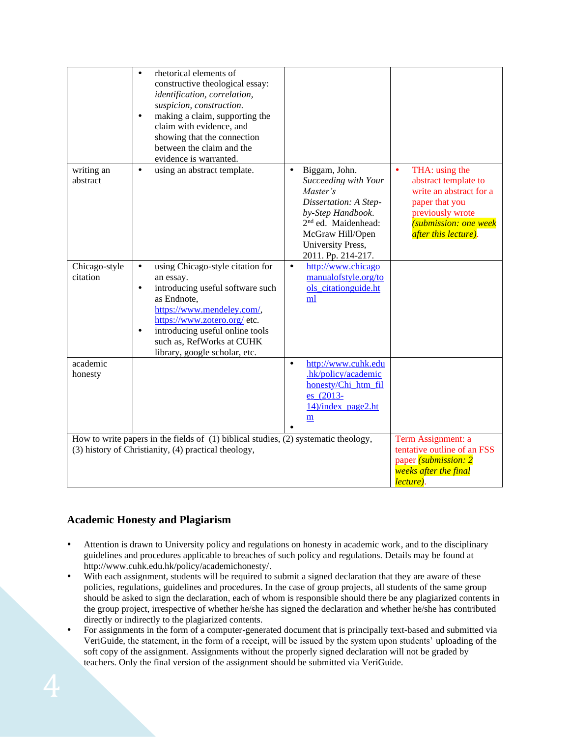|                                                                                                                                                 | rhetorical elements of<br>$\bullet$<br>constructive theological essay:<br>identification, correlation,<br>suspicion, construction.<br>making a claim, supporting the<br>$\bullet$<br>claim with evidence, and<br>showing that the connection<br>between the claim and the<br>evidence is warranted.    |                                                                                                                                                                                                                |                                                                                                                                                                                     |
|-------------------------------------------------------------------------------------------------------------------------------------------------|--------------------------------------------------------------------------------------------------------------------------------------------------------------------------------------------------------------------------------------------------------------------------------------------------------|----------------------------------------------------------------------------------------------------------------------------------------------------------------------------------------------------------------|-------------------------------------------------------------------------------------------------------------------------------------------------------------------------------------|
| writing an<br>abstract                                                                                                                          | using an abstract template.<br>$\bullet$                                                                                                                                                                                                                                                               | Biggam, John.<br>$\bullet$<br>Succeeding with Your<br>Master's<br>Dissertation: A Step-<br>by-Step Handbook.<br>2 <sup>nd</sup> ed. Maidenhead:<br>McGraw Hill/Open<br>University Press,<br>2011. Pp. 214-217. | $\bullet$<br>THA: using the<br>abstract template to<br>write an abstract for a<br>paper that you<br>previously wrote<br><i>(submission: one week</i><br><i>after this lecture).</i> |
| Chicago-style<br>citation                                                                                                                       | using Chicago-style citation for<br>$\bullet$<br>an essay.<br>introducing useful software such<br>$\bullet$<br>as Endnote,<br>https://www.mendeley.com/,<br>https://www.zotero.org/ etc.<br>introducing useful online tools<br>$\bullet$<br>such as, RefWorks at CUHK<br>library, google scholar, etc. | $\bullet$<br>http://www.chicago<br>manualofstyle.org/to<br>ols_citationguide.ht<br>ml                                                                                                                          |                                                                                                                                                                                     |
| academic<br>honesty                                                                                                                             |                                                                                                                                                                                                                                                                                                        | http://www.cuhk.edu<br>$\bullet$<br>.hk/policy/academic<br>honesty/Chi_htm_fil<br>es_(2013-<br>14)/index_page2.ht<br>m                                                                                         |                                                                                                                                                                                     |
| How to write papers in the fields of $(1)$ biblical studies, $(2)$ systematic theology,<br>(3) history of Christianity, (4) practical theology, |                                                                                                                                                                                                                                                                                                        |                                                                                                                                                                                                                | Term Assignment: a<br>tentative outline of an FSS<br>paper <i>(submission: 2)</i><br>weeks after the final<br>lecture).                                                             |

# **Academic Honesty and Plagiarism**

- Attention is drawn to University policy and regulations on honesty in academic work, and to the disciplinary guidelines and procedures applicable to breaches of such policy and regulations. Details may be found at [http://www.cuhk.edu.hk/policy/academichonesty/.](http://www.cuhk.edu.hk/policy/academichonesty/)
- With each assignment, students will be required to submit a signed [declaration](file:///D:/Users/vikki_aqs/AppData/Local/Microsoft/Windows/Temporary%20Internet%20Files/Content.Outlook/Application%20Data/Microsoft/Academic%20Honesty/Eng%20htm%20files%20(2013-14)/p10.htm) that they are aware of these policies, regulations, guidelines and procedures. In the case of group projects, all students of the same group should be asked to sign the declaration, each of whom is responsible should there be any plagiarized contents in the group project, irrespective of whether he/she has signed the declaration and whether he/she has contributed directly or indirectly to the plagiarized contents.
- For assignments in the form of a computer-generated document that is principally text-based and submitted via VeriGuide, the statement, in the form of a receipt, will be issued by the system upon students' uploading of the soft copy of the assignment. Assignments without the properly signed declaration will not be graded by teachers. Only the final version of the assignment should be submitted via VeriGuide.